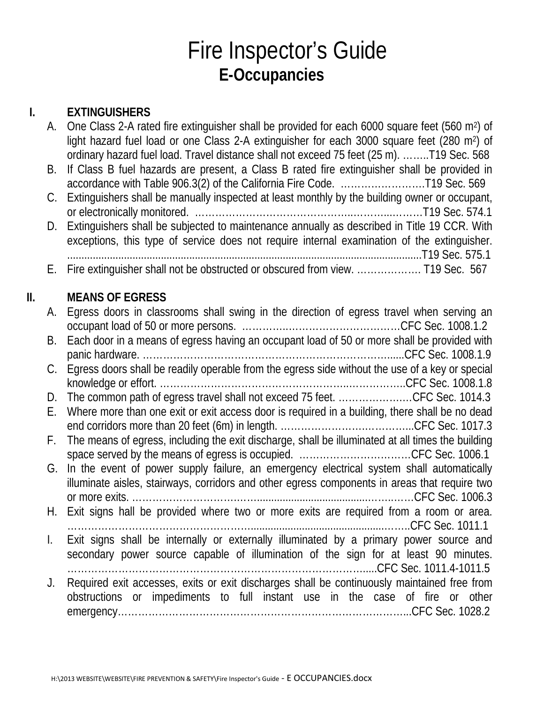## Fire Inspector's Guide **E-Occupancies**

### **I. EXTINGUISHERS**

|     | А. | One Class 2-A rated fire extinguisher shall be provided for each 6000 square feet (560 m <sup>2</sup> ) of<br>light hazard fuel load or one Class 2-A extinguisher for each 3000 square feet (280 m <sup>2</sup> ) of |
|-----|----|-----------------------------------------------------------------------------------------------------------------------------------------------------------------------------------------------------------------------|
|     | В. | ordinary hazard fuel load. Travel distance shall not exceed 75 feet (25 m). T19 Sec. 568<br>If Class B fuel hazards are present, a Class B rated fire extinguisher shall be provided in                               |
|     | C. | Extinguishers shall be manually inspected at least monthly by the building owner or occupant,                                                                                                                         |
|     | D. | Extinguishers shall be subjected to maintenance annually as described in Title 19 CCR. With<br>exceptions, this type of service does not require internal examination of the extinguisher.                            |
|     | Е. | Fire extinguisher shall not be obstructed or obscured from view.  T19 Sec. 567                                                                                                                                        |
| II. |    | <b>MEANS OF EGRESS</b>                                                                                                                                                                                                |
|     | А. | Egress doors in classrooms shall swing in the direction of egress travel when serving an                                                                                                                              |
|     | В. | Each door in a means of egress having an occupant load of 50 or more shall be provided with                                                                                                                           |
|     | C. | Egress doors shall be readily operable from the egress side without the use of a key or special                                                                                                                       |
|     | D. | The common path of egress travel shall not exceed 75 feet. CFC Sec. 1014.3                                                                                                                                            |
|     | Е. | Where more than one exit or exit access door is required in a building, there shall be no dead                                                                                                                        |
|     | F. | The means of egress, including the exit discharge, shall be illuminated at all times the building                                                                                                                     |
|     |    | G. In the event of power supply failure, an emergency electrical system shall automatically                                                                                                                           |
|     |    | illuminate aisles, stairways, corridors and other egress components in areas that require two                                                                                                                         |
|     |    | H. Exit signs hall be provided where two or more exits are required from a room or area.                                                                                                                              |
|     | I. | Exit signs shall be internally or externally illuminated by a primary power source and<br>secondary power source capable of illumination of the sign for at least 90 minutes.                                         |
|     | J. | Required exit accesses, exits or exit discharges shall be continuously maintained free from<br>obstructions or impediments to full instant use in the case of fire or other                                           |
|     |    |                                                                                                                                                                                                                       |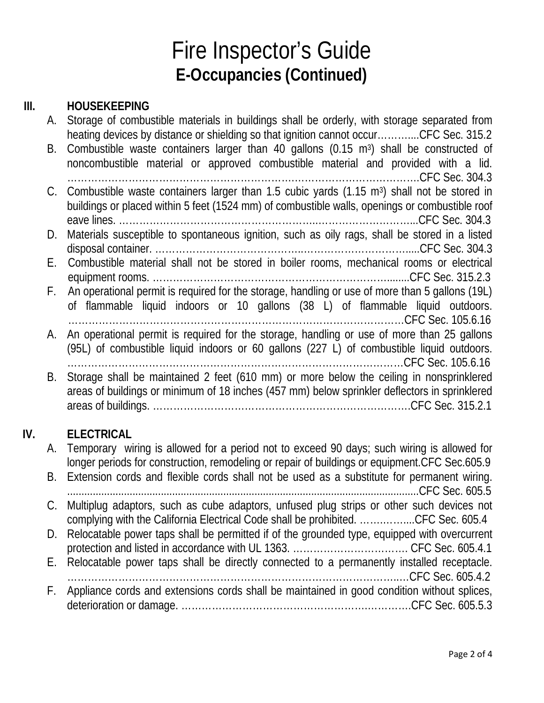# Fire Inspector's Guide **E-Occupancies (Continued)**

### **III. HOUSEKEEPING**

| А. | Storage of combustible materials in buildings shall be orderly, with storage separated from<br>heating devices by distance or shielding so that ignition cannot occurCFC Sec. 315.2 |
|----|-------------------------------------------------------------------------------------------------------------------------------------------------------------------------------------|
| В. | Combustible waste containers larger than 40 gallons (0.15 m <sup>3</sup> ) shall be constructed of                                                                                  |
|    | noncombustible material or approved combustible material and provided with a lid.                                                                                                   |
| C. | Combustible waste containers larger than 1.5 cubic yards (1.15 m <sup>3</sup> ) shall not be stored in                                                                              |
|    | buildings or placed within 5 feet (1524 mm) of combustible walls, openings or combustible roof                                                                                      |
|    |                                                                                                                                                                                     |
| D. | Materials susceptible to spontaneous ignition, such as oily rags, shall be stored in a listed                                                                                       |
|    |                                                                                                                                                                                     |
| Е. | Combustible material shall not be stored in boiler rooms, mechanical rooms or electrical                                                                                            |
|    |                                                                                                                                                                                     |
| F. | An operational permit is required for the storage, handling or use of more than 5 gallons (19L)                                                                                     |
|    | of flammable liquid indoors or 10 gallons (38 L) of flammable liquid outdoors.                                                                                                      |
|    |                                                                                                                                                                                     |
| А. | An operational permit is required for the storage, handling or use of more than 25 gallons                                                                                          |
|    | (95L) of combustible liquid indoors or 60 gallons (227 L) of combustible liquid outdoors.                                                                                           |
|    |                                                                                                                                                                                     |
| В. | Storage shall be maintained 2 feet (610 mm) or more below the ceiling in nonsprinklered                                                                                             |
|    | areas of buildings or minimum of 18 inches (457 mm) below sprinkler deflectors in sprinklered                                                                                       |
|    |                                                                                                                                                                                     |
|    |                                                                                                                                                                                     |
|    | ELECTRICAL                                                                                                                                                                          |

## **IV. ELECTRICAL**

| A. Temporary wiring is allowed for a period not to exceed 90 days; such wiring is allowed for   |
|-------------------------------------------------------------------------------------------------|
| longer periods for construction, remodeling or repair of buildings or equipment.CFC Sec.605.9   |
| B. Extension cords and flexible cords shall not be used as a substitute for permanent wiring.   |
|                                                                                                 |
| C. Multiplug adaptors, such as cube adaptors, unfused plug strips or other such devices not     |
| complying with the California Electrical Code shall be prohibited. CFC Sec. 605.4               |
| D. Relocatable power taps shall be permitted if of the grounded type, equipped with overcurrent |
|                                                                                                 |
| E. Relocatable power taps shall be directly connected to a permanently installed receptacle.    |
|                                                                                                 |
| F. Appliance cords and extensions cords shall be maintained in good condition without splices,  |
|                                                                                                 |
|                                                                                                 |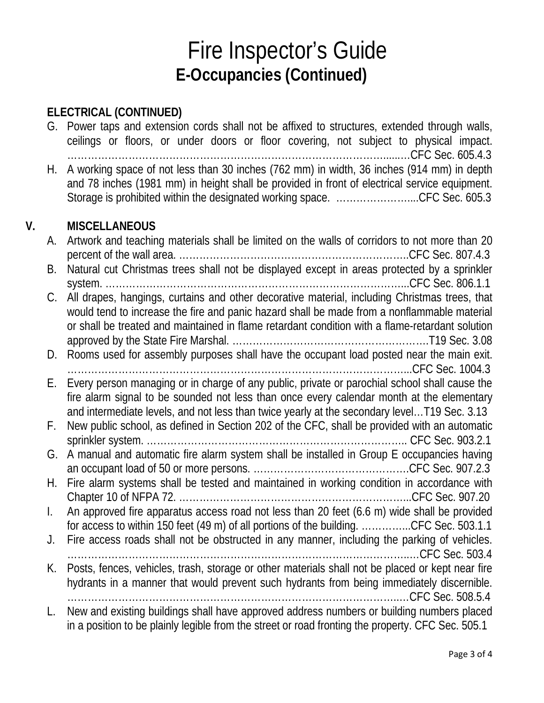## Fire Inspector's Guide **E-Occupancies (Continued)**

#### **ELECTRICAL (CONTINUED)**

|    |    | G. Power taps and extension cords shall not be affixed to structures, extended through walls,<br>ceilings or floors, or under doors or floor covering, not subject to physical impact.                                                                                                          |
|----|----|-------------------------------------------------------------------------------------------------------------------------------------------------------------------------------------------------------------------------------------------------------------------------------------------------|
|    | Н. | A working space of not less than 30 inches (762 mm) in width, 36 inches (914 mm) in depth<br>and 78 inches (1981 mm) in height shall be provided in front of electrical service equipment.<br>Storage is prohibited within the designated working space. CFC Sec. 605.3                         |
| V. |    | <b>MISCELLANEOUS</b>                                                                                                                                                                                                                                                                            |
|    | А. | Artwork and teaching materials shall be limited on the walls of corridors to not more than 20                                                                                                                                                                                                   |
|    | В. | Natural cut Christmas trees shall not be displayed except in areas protected by a sprinkler                                                                                                                                                                                                     |
|    |    |                                                                                                                                                                                                                                                                                                 |
|    | C. | All drapes, hangings, curtains and other decorative material, including Christmas trees, that<br>would tend to increase the fire and panic hazard shall be made from a nonflammable material<br>or shall be treated and maintained in flame retardant condition with a flame-retardant solution |
|    |    |                                                                                                                                                                                                                                                                                                 |
|    |    | D. Rooms used for assembly purposes shall have the occupant load posted near the main exit.                                                                                                                                                                                                     |
|    | Е. | Every person managing or in charge of any public, private or parochial school shall cause the<br>fire alarm signal to be sounded not less than once every calendar month at the elementary                                                                                                      |
|    |    | and intermediate levels, and not less than twice yearly at the secondary level T19 Sec. 3.13                                                                                                                                                                                                    |
|    | F. | New public school, as defined in Section 202 of the CFC, shall be provided with an automatic                                                                                                                                                                                                    |
|    | G. | A manual and automatic fire alarm system shall be installed in Group E occupancies having                                                                                                                                                                                                       |
|    | Н. | Fire alarm systems shall be tested and maintained in working condition in accordance with                                                                                                                                                                                                       |
|    |    | An approved fire apparatus access road not less than 20 feet (6.6 m) wide shall be provided                                                                                                                                                                                                     |
|    |    | for access to within 150 feet (49 m) of all portions of the building. CFC Sec. 503.1.1                                                                                                                                                                                                          |
|    | J. | Fire access roads shall not be obstructed in any manner, including the parking of vehicles.                                                                                                                                                                                                     |
|    | К. | Posts, fences, vehicles, trash, storage or other materials shall not be placed or kept near fire                                                                                                                                                                                                |
|    |    | hydrants in a manner that would prevent such hydrants from being immediately discernible.                                                                                                                                                                                                       |
|    | L. | New and existing buildings shall have approved address numbers or building numbers placed                                                                                                                                                                                                       |
|    |    | in a position to be plainly legible from the street or road fronting the property. CFC Sec. 505.1                                                                                                                                                                                               |